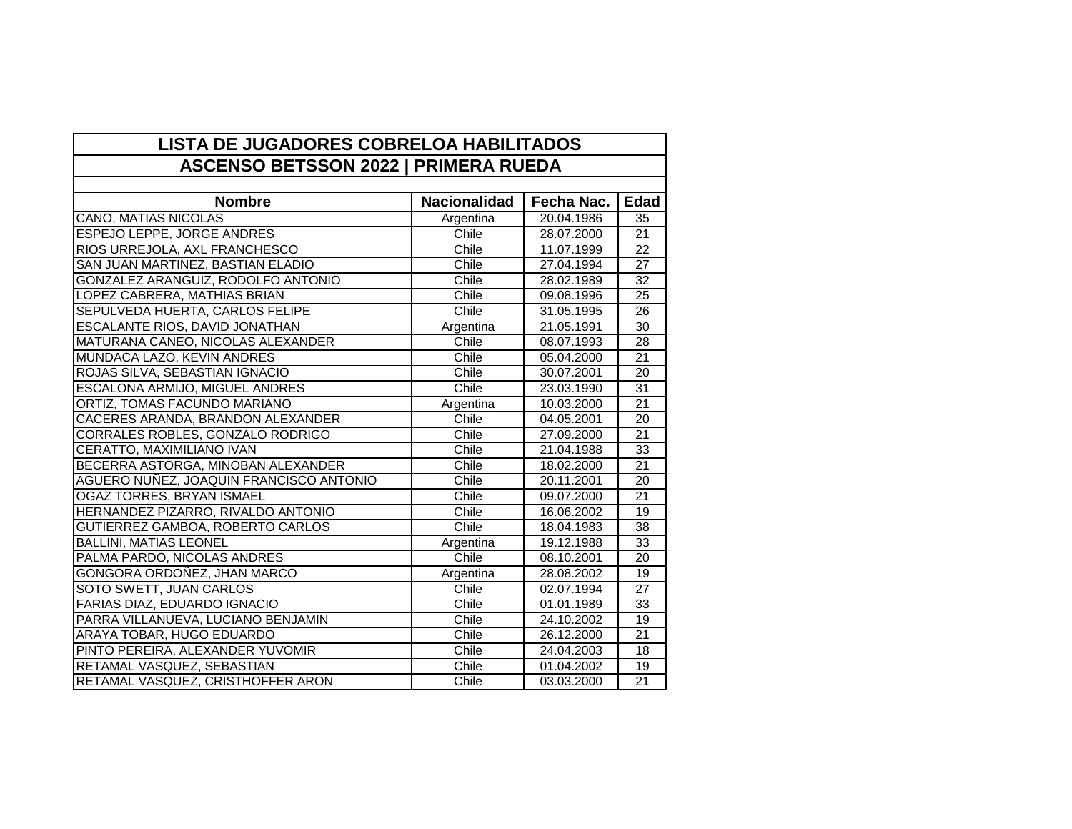| <b>LISTA DE JUGADORES COBRELOA HABILITADOS</b> |                     |            |                 |  |  |
|------------------------------------------------|---------------------|------------|-----------------|--|--|
| <b>ASCENSO BETSSON 2022   PRIMERA RUEDA</b>    |                     |            |                 |  |  |
|                                                |                     |            |                 |  |  |
| <b>Nombre</b>                                  | <b>Nacionalidad</b> | Fecha Nac. | Edad            |  |  |
| <b>CANO, MATIAS NICOLAS</b>                    | Argentina           | 20.04.1986 | 35              |  |  |
| <b>ESPEJO LEPPE, JORGE ANDRES</b>              | Chile               | 28.07.2000 | 21              |  |  |
| RIOS URREJOLA, AXL FRANCHESCO                  | Chile               | 11.07.1999 | 22              |  |  |
| SAN JUAN MARTINEZ, BASTIAN ELADIO              | Chile               | 27.04.1994 | $\overline{27}$ |  |  |
| GONZALEZ ARANGUIZ, RODOLFO ANTONIO             | Chile               | 28.02.1989 | $\overline{32}$ |  |  |
| LOPEZ CABRERA, MATHIAS BRIAN                   | Chile               | 09.08.1996 | 25              |  |  |
| SEPULVEDA HUERTA, CARLOS FELIPE                | Chile               | 31.05.1995 | 26              |  |  |
| ESCALANTE RIOS, DAVID JONATHAN                 | Argentina           | 21.05.1991 | $\overline{30}$ |  |  |
| MATURANA CANEO, NICOLAS ALEXANDER              | Chile               | 08.07.1993 | 28              |  |  |
| MUNDACA LAZO, KEVIN ANDRES                     | Chile               | 05.04.2000 | 21              |  |  |
| ROJAS SILVA, SEBASTIAN IGNACIO                 | Chile               | 30.07.2001 | 20              |  |  |
| ESCALONA ARMIJO, MIGUEL ANDRES                 | Chile               | 23.03.1990 | 31              |  |  |
| ORTIZ, TOMAS FACUNDO MARIANO                   | Argentina           | 10.03.2000 | 21              |  |  |
| CACERES ARANDA, BRANDON ALEXANDER              | Chile               | 04.05.2001 | 20              |  |  |
| CORRALES ROBLES, GONZALO RODRIGO               | Chile               | 27.09.2000 | 21              |  |  |
| CERATTO, MAXIMILIANO IVAN                      | Chile               | 21.04.1988 | 33              |  |  |
| BECERRA ASTORGA, MINOBAN ALEXANDER             | Chile               | 18.02.2000 | $\overline{21}$ |  |  |
| AGUERO NUÑEZ, JOAQUIN FRANCISCO ANTONIO        | Chile               | 20.11.2001 | $\overline{20}$ |  |  |
| <b>OGAZ TORRES, BRYAN ISMAEL</b>               | Chile               | 09.07.2000 | $\overline{21}$ |  |  |
| HERNANDEZ PIZARRO, RIVALDO ANTONIO             | Chile               | 16.06.2002 | 19              |  |  |
| <b>GUTIERREZ GAMBOA, ROBERTO CARLOS</b>        | Chile               | 18.04.1983 | 38              |  |  |
| <b>BALLINI, MATIAS LEONEL</b>                  | Argentina           | 19.12.1988 | 33              |  |  |
| PALMA PARDO, NICOLAS ANDRES                    | Chile               | 08.10.2001 | $\overline{20}$ |  |  |
| GONGORA ORDOÑEZ, JHAN MARCO                    | Argentina           | 28.08.2002 | 19              |  |  |
| SOTO SWETT, JUAN CARLOS                        | Chile               | 02.07.1994 | 27              |  |  |
| <b>FARIAS DIAZ, EDUARDO IGNACIO</b>            | Chile               | 01.01.1989 | 33              |  |  |
| PARRA VILLANUEVA, LUCIANO BENJAMIN             | Chile               | 24.10.2002 | 19              |  |  |
| ARAYA TOBAR, HUGO EDUARDO                      | Chile               | 26.12.2000 | $\overline{21}$ |  |  |
| PINTO PEREIRA, ALEXANDER YUVOMIR               | Chile               | 24.04.2003 | 18              |  |  |
| RETAMAL VASQUEZ, SEBASTIAN                     | Chile               | 01.04.2002 | 19              |  |  |
| RETAMAL VASQUEZ, CRISTHOFFER ARON              | Chile               | 03.03.2000 | $\overline{21}$ |  |  |

٦

 $\Gamma$